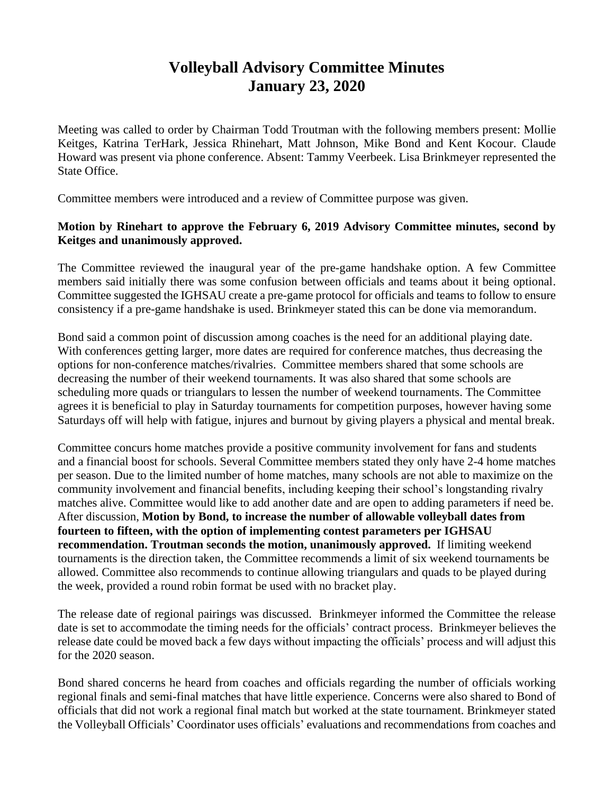## **Volleyball Advisory Committee Minutes January 23, 2020**

Meeting was called to order by Chairman Todd Troutman with the following members present: Mollie Keitges, Katrina TerHark, Jessica Rhinehart, Matt Johnson, Mike Bond and Kent Kocour. Claude Howard was present via phone conference. Absent: Tammy Veerbeek. Lisa Brinkmeyer represented the State Office.

Committee members were introduced and a review of Committee purpose was given.

## **Motion by Rinehart to approve the February 6, 2019 Advisory Committee minutes, second by Keitges and unanimously approved.**

The Committee reviewed the inaugural year of the pre-game handshake option. A few Committee members said initially there was some confusion between officials and teams about it being optional. Committee suggested the IGHSAU create a pre-game protocol for officials and teams to follow to ensure consistency if a pre-game handshake is used. Brinkmeyer stated this can be done via memorandum.

Bond said a common point of discussion among coaches is the need for an additional playing date. With conferences getting larger, more dates are required for conference matches, thus decreasing the options for non-conference matches/rivalries. Committee members shared that some schools are decreasing the number of their weekend tournaments. It was also shared that some schools are scheduling more quads or triangulars to lessen the number of weekend tournaments. The Committee agrees it is beneficial to play in Saturday tournaments for competition purposes, however having some Saturdays off will help with fatigue, injures and burnout by giving players a physical and mental break.

Committee concurs home matches provide a positive community involvement for fans and students and a financial boost for schools. Several Committee members stated they only have 2-4 home matches per season. Due to the limited number of home matches, many schools are not able to maximize on the community involvement and financial benefits, including keeping their school's longstanding rivalry matches alive. Committee would like to add another date and are open to adding parameters if need be. After discussion, **Motion by Bond, to increase the number of allowable volleyball dates from fourteen to fifteen, with the option of implementing contest parameters per IGHSAU recommendation. Troutman seconds the motion, unanimously approved.** If limiting weekend tournaments is the direction taken, the Committee recommends a limit of six weekend tournaments be allowed. Committee also recommends to continue allowing triangulars and quads to be played during the week, provided a round robin format be used with no bracket play.

The release date of regional pairings was discussed. Brinkmeyer informed the Committee the release date is set to accommodate the timing needs for the officials' contract process. Brinkmeyer believes the release date could be moved back a few days without impacting the officials' process and will adjust this for the 2020 season.

Bond shared concerns he heard from coaches and officials regarding the number of officials working regional finals and semi-final matches that have little experience. Concerns were also shared to Bond of officials that did not work a regional final match but worked at the state tournament. Brinkmeyer stated the Volleyball Officials' Coordinator uses officials' evaluations and recommendations from coaches and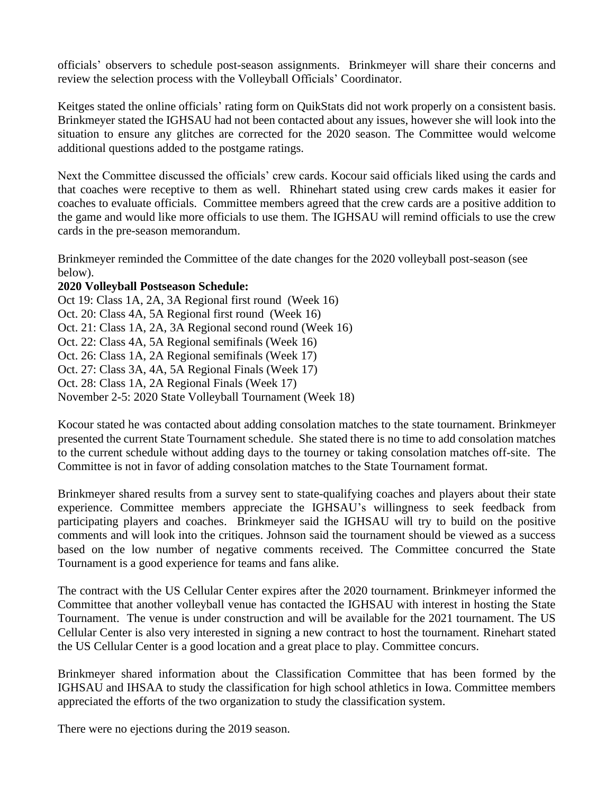officials' observers to schedule post-season assignments. Brinkmeyer will share their concerns and review the selection process with the Volleyball Officials' Coordinator.

Keitges stated the online officials' rating form on QuikStats did not work properly on a consistent basis. Brinkmeyer stated the IGHSAU had not been contacted about any issues, however she will look into the situation to ensure any glitches are corrected for the 2020 season. The Committee would welcome additional questions added to the postgame ratings.

Next the Committee discussed the officials' crew cards. Kocour said officials liked using the cards and that coaches were receptive to them as well. Rhinehart stated using crew cards makes it easier for coaches to evaluate officials. Committee members agreed that the crew cards are a positive addition to the game and would like more officials to use them. The IGHSAU will remind officials to use the crew cards in the pre-season memorandum.

Brinkmeyer reminded the Committee of the date changes for the 2020 volleyball post-season (see below).

## **2020 Volleyball Postseason Schedule:**

Oct 19: Class 1A, 2A, 3A Regional first round (Week 16) Oct. 20: Class 4A, 5A Regional first round (Week 16) Oct. 21: Class 1A, 2A, 3A Regional second round (Week 16) Oct. 22: Class 4A, 5A Regional semifinals (Week 16) Oct. 26: Class 1A, 2A Regional semifinals (Week 17) Oct. 27: Class 3A, 4A, 5A Regional Finals (Week 17) Oct. 28: Class 1A, 2A Regional Finals (Week 17) November 2-5: 2020 State Volleyball Tournament (Week 18)

Kocour stated he was contacted about adding consolation matches to the state tournament. Brinkmeyer presented the current State Tournament schedule. She stated there is no time to add consolation matches to the current schedule without adding days to the tourney or taking consolation matches off-site. The Committee is not in favor of adding consolation matches to the State Tournament format.

Brinkmeyer shared results from a survey sent to state-qualifying coaches and players about their state experience. Committee members appreciate the IGHSAU's willingness to seek feedback from participating players and coaches. Brinkmeyer said the IGHSAU will try to build on the positive comments and will look into the critiques. Johnson said the tournament should be viewed as a success based on the low number of negative comments received. The Committee concurred the State Tournament is a good experience for teams and fans alike.

The contract with the US Cellular Center expires after the 2020 tournament. Brinkmeyer informed the Committee that another volleyball venue has contacted the IGHSAU with interest in hosting the State Tournament. The venue is under construction and will be available for the 2021 tournament. The US Cellular Center is also very interested in signing a new contract to host the tournament. Rinehart stated the US Cellular Center is a good location and a great place to play. Committee concurs.

Brinkmeyer shared information about the Classification Committee that has been formed by the IGHSAU and IHSAA to study the classification for high school athletics in Iowa. Committee members appreciated the efforts of the two organization to study the classification system.

There were no ejections during the 2019 season.